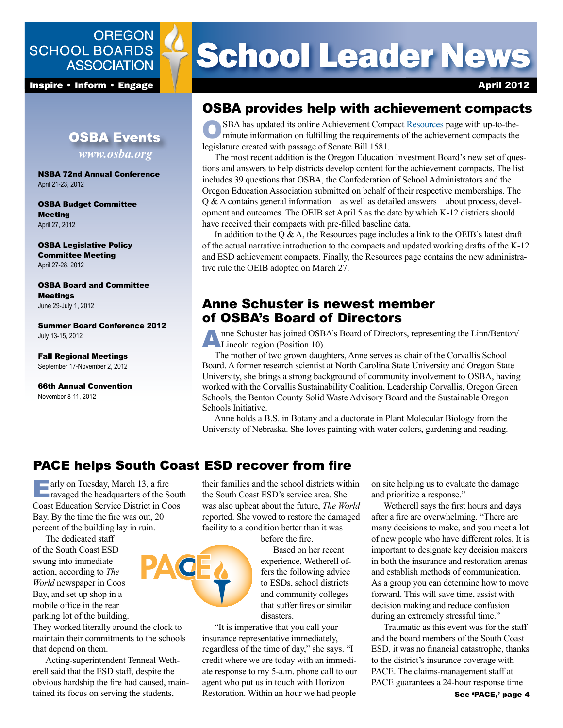## **OREGON SCHOOL BOARDS ASSOCIATION**

**Inspire • Inform • Engage April 2012** 

## **OSBA Events** *www.osba.org*

NSBA 72nd Annual Conference April 21-23, 2012

OSBA Budget Committee **Meeting** April 27, 2012

OSBA Legislative Policy Committee Meeting April 27-28, 2012

OSBA Board and Committee Meetings June 29-July 1, 2012

Summer Board Conference 2012 July 13-15, 2012

Fall Regional Meetings September 17-November 2, 2012

66th Annual Convention November 8-11, 2012

# **School Leader News**

## OSBA provides help with achievement compacts

SBA has updated its online Achievement Compact Resources page with up-to-theminute information on fulfilling the requirements of the achievement compacts the legislature created with passage of Senate Bill 1581.

The most recent addition is the Oregon Education Investment Board's new set of questions and answers to help districts develop content for the achievement compacts. The list includes 39 questions that OSBA, the Confederation of School Administrators and the Oregon Education Association submitted on behalf of their respective memberships. The Q & A contains general information—as well as detailed answers—about process, development and outcomes. The OEIB set April 5 as the date by which K-12 districts should have received their compacts with pre-filled baseline data.

In addition to the  $Q \& A$ , the Resources page includes a link to the OEIB's latest draft of the actual narrative introduction to the compacts and updated working drafts of the K-12 and ESD achievement compacts. Finally, the Resources page contains the new administrative rule the OEIB adopted on March 27.

## Anne Schuster is newest member of OSBA's Board of Directors

Anne Schuster has joined OSBA's Board of Directors, representing the Linn/Benton/ **COLLEGE CONSIGNMENT**<br>Lincoln region (Position 10).

The mother of two grown daughters, Anne serves as chair of the Corvallis School Board. A former research scientist at North Carolina State University and Oregon State University, she brings a strong background of community involvement to OSBA, having worked with the Corvallis Sustainability Coalition, Leadership Corvallis, Oregon Green Schools, the Benton County Solid Waste Advisory Board and the Sustainable Oregon Schools Initiative.

Anne holds a B.S. in Botany and a doctorate in Plant Molecular Biology from the University of Nebraska. She loves painting with water colors, gardening and reading.

## PACE helps South Coast ESD recover from fire

**Early on Tuesday, March 13, a fire** ravaged the headquarters of the South Coast Education Service District in Coos Bay. By the time the fire was out, 20 percent of the building lay in ruin.

The dedicated staff of the South Coast ESD swung into immediate action, according to *The World* newspaper in Coos Bay, and set up shop in a mobile office in the rear parking lot of the building.

They worked literally around the clock to maintain their commitments to the schools that depend on them.

Acting-superintendent Tenneal Wetherell said that the ESD staff, despite the obvious hardship the fire had caused, maintained its focus on serving the students,

their families and the school districts within the South Coast ESD's service area. She was also upbeat about the future, *The World* reported. She vowed to restore the damaged facility to a condition better than it was

before the fire.

Based on her recent experience, Wetherell offers the following advice to ESDs, school districts and community colleges that suffer fires or similar disasters.

"It is imperative that you call your insurance representative immediately, regardless of the time of day," she says. "I credit where we are today with an immediate response to my 5-a.m. phone call to our agent who put us in touch with Horizon Restoration. Within an hour we had people

on site helping us to evaluate the damage and prioritize a response."

Wetherell says the first hours and days after a fire are overwhelming. "There are many decisions to make, and you meet a lot of new people who have different roles. It is important to designate key decision makers in both the insurance and restoration arenas and establish methods of communication. As a group you can determine how to move forward. This will save time, assist with decision making and reduce confusion during an extremely stressful time."

Traumatic as this event was for the staff and the board members of the South Coast ESD, it was no financial catastrophe, thanks to the district's insurance coverage with PACE. The claims-management staff at PACE guarantees a 24-hour response time

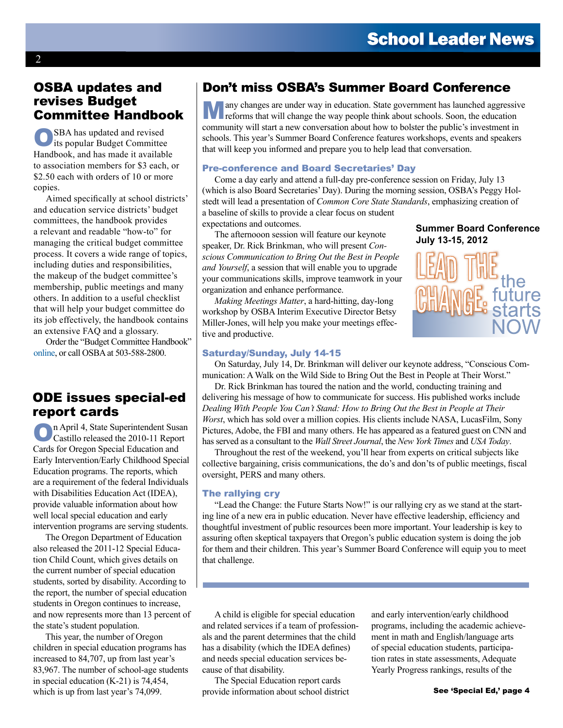## OSBA updates and revises Budget Committee Handbook

OSBA has updated and revised its popular Budget Committee Handbook, and has made it available to association members for \$3 each, or \$2.50 each with orders of 10 or more copies.

Aimed specifically at school districts' and education service districts' budget committees, the handbook provides a relevant and readable "how-to" for managing the critical budget committee process. It covers a wide range of topics, including duties and responsibilities, the makeup of the budget committee's membership, public meetings and many others. In addition to a useful checklist that will help your budget committee do its job effectively, the handbook contains an extensive FAQ and a glossary.

Order the "Budget Committee Handbook" online, or call OSBA at 503-588-2800.

## ODE issues special-ed report cards

On April 4, State Superintendent Susan Castillo released the 2010-11 Report Cards for Oregon Special Education and Early Intervention/Early Childhood Special Education programs. The reports, which are a requirement of the federal Individuals with Disabilities Education Act (IDEA), provide valuable information about how well local special education and early intervention programs are serving students.

The Oregon Department of Education also released the 2011-12 Special Education Child Count, which gives details on the current number of special education students, sorted by disability. According to the report, the number of special education students in Oregon continues to increase, and now represents more than 13 percent of the state's student population.

This year, the number of Oregon children in special education programs has increased to 84,707, up from last year's 83,967. The number of school-age students in special education (K-21) is 74,454, which is up from last year's 74,099.

## Don't miss OSBA's Summer Board Conference

any changes are under way in education. State government has launched aggressive reforms that will change the way people think about schools. Soon, the education community will start a new conversation about how to bolster the public's investment in schools. This year's Summer Board Conference features workshops, events and speakers that will keep you informed and prepare you to help lead that conversation.

#### Pre-conference and Board Secretaries' Day

Come a day early and attend a full-day pre-conference session on Friday, July 13 (which is also Board Secretaries' Day). During the morning session, OSBA's Peggy Holstedt will lead a presentation of *Common Core State Standards*, emphasizing creation of a baseline of skills to provide a clear focus on student expectations and outcomes.

The afternooon session will feature our keynote speaker, Dr. Rick Brinkman, who will present *Conscious Communication to Bring Out the Best in People and Yourself*, a session that will enable you to upgrade your communications skills, improve teamwork in your organization and enhance performance.

*Making Meetings Matter*, a hard-hitting, day-long workshop by OSBA Interim Executive Director Betsy Miller-Jones, will help you make your meetings effective and productive.

#### **Summer Board Conference July 13-15, 2012**



#### Saturday/Sunday, July 14-15

On Saturday, July 14, Dr. Brinkman will deliver our keynote address, "Conscious Communication: A Walk on the Wild Side to Bring Out the Best in People at Their Worst."

Dr. Rick Brinkman has toured the nation and the world, conducting training and delivering his message of how to communicate for success. His published works include *Dealing With People You Can't Stand: How to Bring Out the Best in People at Their Worst*, which has sold over a million copies. His clients include NASA, LucasFilm, Sony Pictures, Adobe, the FBI and many others. He has appeared as a featured guest on CNN and has served as a consultant to the *Wall Street Journal*, the *New York Times* and *USA Today*.

Throughout the rest of the weekend, you'll hear from experts on critical subjects like collective bargaining, crisis communications, the do's and don'ts of public meetings, fiscal oversight, PERS and many others.

#### The rallying cry

"Lead the Change: the Future Starts Now!" is our rallying cry as we stand at the starting line of a new era in public education. Never have effective leadership, efficiency and thoughtful investment of public resources been more important. Your leadership is key to assuring often skeptical taxpayers that Oregon's public education system is doing the job for them and their children. This year's Summer Board Conference will equip you to meet that challenge.

A child is eligible for special education and related services if a team of professionals and the parent determines that the child has a disability (which the IDEA defines) and needs special education services because of that disability.

The Special Education report cards provide information about school district and early intervention/early childhood programs, including the academic achievement in math and English/language arts of special education students, participation rates in state assessments, Adequate Yearly Progress rankings, results of the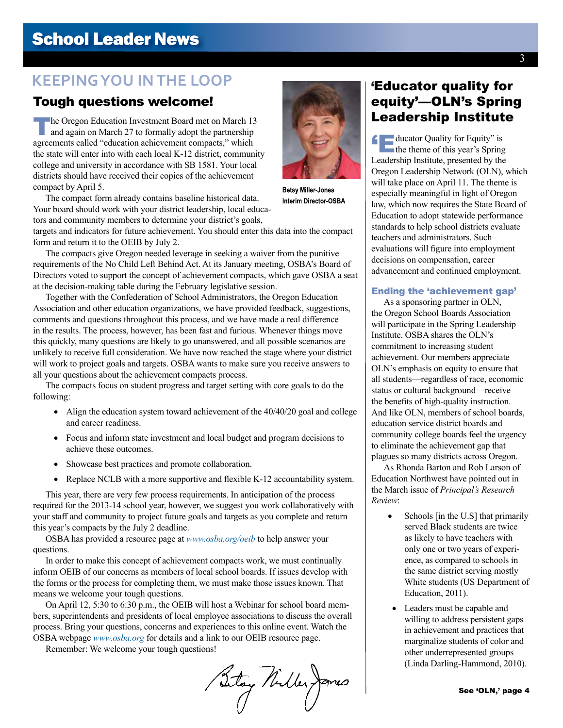## **School Leader News**

## **KEEPING YOU IN THE LOOP**

## Tough questions welcome!

The Oregon Education Investment Board met on March 13<br>
and again on March 27 to formally adopt the partnership<br> **And Again on March 27 to formally adopt the partnership** agreements called "education achievement compacts," which the state will enter into with each local K-12 district, community college and university in accordance with SB 1581. Your local districts should have received their copies of the achievement compact by April 5.

The compact form already contains baseline historical data. Your board should work with your district leadership, local educators and community members to determine your district's goals,

targets and indicators for future achievement. You should enter this data into the compact form and return it to the OEIB by July 2.

The compacts give Oregon needed leverage in seeking a waiver from the punitive requirements of the No Child Left Behind Act. At its January meeting, OSBA's Board of Directors voted to support the concept of achievement compacts, which gave OSBA a seat at the decision-making table during the February legislative session.

Together with the Confederation of School Administrators, the Oregon Education Association and other education organizations, we have provided feedback, suggestions, comments and questions throughout this process, and we have made a real difference in the results. The process, however, has been fast and furious. Whenever things move this quickly, many questions are likely to go unanswered, and all possible scenarios are unlikely to receive full consideration. We have now reached the stage where your district will work to project goals and targets. OSBA wants to make sure you receive answers to all your questions about the achievement compacts process.

The compacts focus on student progress and target setting with core goals to do the following:

- Align the education system toward achievement of the  $40/40/20$  goal and college and career readiness.
- Focus and inform state investment and local budget and program decisions to achieve these outcomes.
- • Showcase best practices and promote collaboration.
- Replace NCLB with a more supportive and flexible K-12 accountability system.

This year, there are very few process requirements. In anticipation of the process required for the 2013-14 school year, however, we suggest you work collaboratively with your staff and community to project future goals and targets as you complete and return this year's compacts by the July 2 deadline.

OSBA has provided a resource page at *www.osba.org/oeib* to help answer your questions.

In order to make this concept of achievement compacts work, we must continually inform OEIB of our concerns as members of local school boards. If issues develop with the forms or the process for completing them, we must make those issues known. That means we welcome your tough questions.

On April 12, 5:30 to 6:30 p.m., the OEIB will host a Webinar for school board members, superintendents and presidents of local employee associations to discuss the overall process. Bring your questions, concerns and experiences to this online event. Watch the OSBA webpage *www.osba.org* for details and a link to our OEIB resource page.

Remember: We welcome your tough questions!

Sitay Nuller James



'Educator Quality for Equity" is the theme of this year's Spring Leadership Institute, presented by the Oregon Leadership Network (OLN), which will take place on April 11. The theme is especially meaningful in light of Oregon law, which now requires the State Board of Education to adopt statewide performance standards to help school districts evaluate teachers and administrators. Such evaluations will figure into employment decisions on compensation, career advancement and continued employment.

#### Ending the 'achievement gap'

As a sponsoring partner in OLN, the Oregon School Boards Association will participate in the Spring Leadership Institute. OSBA shares the OLN's commitment to increasing student achievement. Our members appreciate OLN's emphasis on equity to ensure that all students—regardless of race, economic status or cultural background—receive the benefits of high-quality instruction. And like OLN, members of school boards, education service district boards and community college boards feel the urgency to eliminate the achievement gap that plagues so many districts across Oregon.

As Rhonda Barton and Rob Larson of Education Northwest have pointed out in the March issue of *Principal's Research Review*:

- Schools [in the U.S] that primarily served Black students are twice as likely to have teachers with only one or two years of experience, as compared to schools in the same district serving mostly White students (US Department of Education, 2011).
- Leaders must be capable and willing to address persistent gaps in achievement and practices that marginalize students of color and other underrepresented groups (Linda Darling-Hammond, 2010).





**Betsv Miller-Jones** Interim Director-OSBA